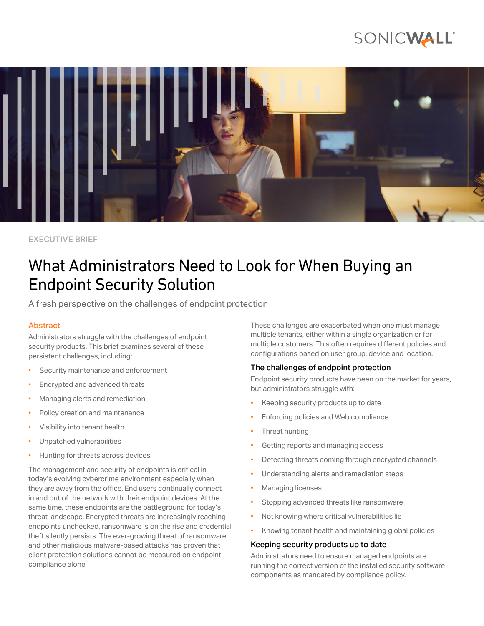# SONICWALL®



EXECUTIVE BRIEF

## What Administrators Need to Look for When Buying an Endpoint Security Solution

A fresh perspective on the challenges of endpoint protection

## Abstract

Administrators struggle with the challenges of endpoint security products. This brief examines several of these persistent challenges, including:

- Security maintenance and enforcement
- Encrypted and advanced threats
- Managing alerts and remediation
- Policy creation and maintenance
- Visibility into tenant health
- Unpatched vulnerabilities
- Hunting for threats across devices

The management and security of endpoints is critical in today's evolving cybercrime environment especially when they are away from the office. End users continually connect in and out of the network with their endpoint devices. At the same time, these endpoints are the battleground for today's threat landscape. Encrypted threats are increasingly reaching endpoints unchecked, ransomware is on the rise and credential theft silently persists. The ever-growing threat of ransomware and other malicious malware-based attacks has proven that client protection solutions cannot be measured on endpoint compliance alone.

These challenges are exacerbated when one must manage multiple tenants, either within a single organization or for multiple customers. This often requires different policies and configurations based on user group, device and location.

## The challenges of endpoint protection

Endpoint security products have been on the market for years, but administrators struggle with:

- Keeping security products up to date
- Enforcing policies and Web compliance
- Threat hunting
- Getting reports and managing access
- Detecting threats coming through encrypted channels
- Understanding alerts and remediation steps
- Managing licenses
- Stopping advanced threats like ransomware
- Not knowing where critical vulnerabilities lie
- Knowing tenant health and maintaining global policies

## Keeping security products up to date

Administrators need to ensure managed endpoints are running the correct version of the installed security software components as mandated by compliance policy.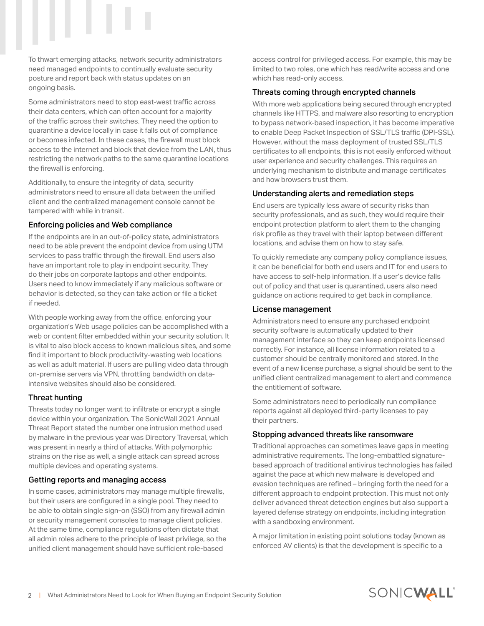To thwart emerging attacks, network security administrators need managed endpoints to continually evaluate security posture and report back with status updates on an ongoing basis.

Some administrators need to stop east-west traffic across their data centers, which can often account for a majority of the traffic across their switches. They need the option to quarantine a device locally in case it falls out of compliance or becomes infected. In these cases, the firewall must block access to the internet and block that device from the LAN, thus restricting the network paths to the same quarantine locations the firewall is enforcing.

Additionally, to ensure the integrity of data, security administrators need to ensure all data between the unified client and the centralized management console cannot be tampered with while in transit.

## Enforcing policies and Web compliance

If the endpoints are in an out-of-policy state, administrators need to be able prevent the endpoint device from using UTM services to pass traffic through the firewall. End users also have an important role to play in endpoint security. They do their jobs on corporate laptops and other endpoints. Users need to know immediately if any malicious software or behavior is detected, so they can take action or file a ticket if needed.

With people working away from the office, enforcing your organization's Web usage policies can be accomplished with a web or content filter embedded within your security solution. It is vital to also block access to known malicious sites, and some find it important to block productivity-wasting web locations as well as adult material. If users are pulling video data through on-premise servers via VPN, throttling bandwidth on dataintensive websites should also be considered.

## Threat hunting

Threats today no longer want to infiltrate or encrypt a single device within your organization. The SonicWall 2021 Annual Threat Report stated the number one intrusion method used by malware in the previous year was Directory Traversal, which was present in nearly a third of attacks. With polymorphic strains on the rise as well, a single attack can spread across multiple devices and operating systems.

#### Getting reports and managing access

In some cases, administrators may manage multiple firewalls, but their users are configured in a single pool. They need to be able to obtain single sign-on (SSO) from any firewall admin or security management consoles to manage client policies. At the same time, compliance regulations often dictate that all admin roles adhere to the principle of least privilege, so the unified client management should have sufficient role-based

access control for privileged access. For example, this may be limited to two roles, one which has read/write access and one which has read-only access.

## Threats coming through encrypted channels

With more web applications being secured through encrypted channels like HTTPS, and malware also resorting to encryption to bypass network-based inspection, it has become imperative to enable Deep Packet Inspection of SSL/TLS traffic (DPI-SSL). However, without the mass deployment of trusted SSL/TLS certificates to all endpoints, this is not easily enforced without user experience and security challenges. This requires an underlying mechanism to distribute and manage certificates and how browsers trust them.

#### Understanding alerts and remediation steps

End users are typically less aware of security risks than security professionals, and as such, they would require their endpoint protection platform to alert them to the changing risk profile as they travel with their laptop between different locations, and advise them on how to stay safe.

To quickly remediate any company policy compliance issues, it can be beneficial for both end users and IT for end users to have access to self-help information. If a user's device falls out of policy and that user is quarantined, users also need guidance on actions required to get back in compliance.

#### License management

Administrators need to ensure any purchased endpoint security software is automatically updated to their management interface so they can keep endpoints licensed correctly. For instance, all license information related to a customer should be centrally monitored and stored. In the event of a new license purchase, a signal should be sent to the unified client centralized management to alert and commence the entitlement of software.

Some administrators need to periodically run compliance reports against all deployed third-party licenses to pay their partners.

## Stopping advanced threats like ransomware

Traditional approaches can sometimes leave gaps in meeting administrative requirements. The long-embattled signaturebased approach of traditional antivirus technologies has failed against the pace at which new malware is developed and evasion techniques are refined – bringing forth the need for a different approach to endpoint protection. This must not only deliver advanced threat detection engines but also support a layered defense strategy on endpoints, including integration with a sandboxing environment.

A major limitation in existing point solutions today (known as enforced AV clients) is that the development is specific to a